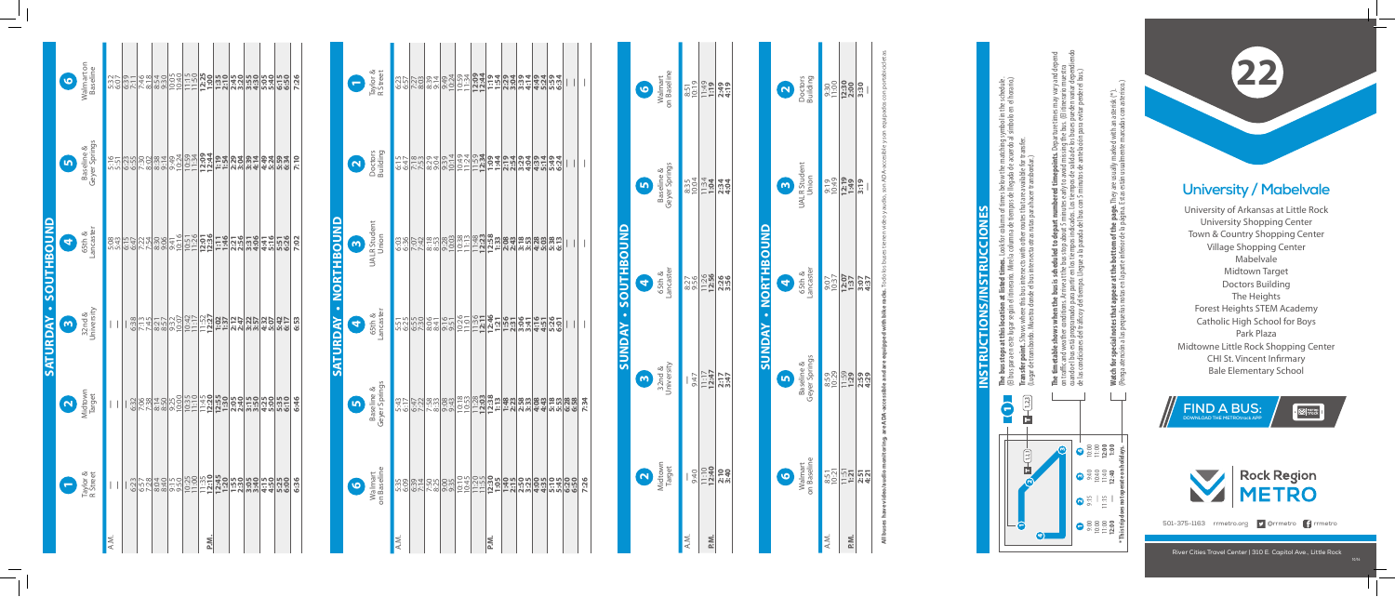## **University / Mabelvale**

University of Arkansas at Little Rock University Shopping Center Town & Country Shopping Center Village Shopping Center Mabelvale Midtown Target Doctors Building The Heights Forest Heights STEM Academy Catholic High School for Boys Park Plaza Midtowne Little Rock Shopping Center CHI St. Vincent Infirmary Bale Elementary School

## **Saturday • Northbound ORTHBOUN** Ž ⋧ **ATURD**

**22**

River Cities Travel Center | 310 E. Capitol Ave., Little Rock



**The bus stops at this location at listed times.** Look for column of times below the matching symbol in the schedule. (El bus para en este lugar según el itinerario. Mire la columna de tiempos de llegada de acuerdo al símbolo en el horario.)  $\frac{1}{2}$   $\frac{1}{2}$ 들고

**Transfer point.** Shows where this bus intersects with other routes that are available for transfer. (Lugar de transbordo. Muestra donde el bus intersecta otras rutas para hacer transbordar.) ் ச

|                     | on Baseline<br>Walmart<br>$\bullet$           | $\frac{8:51}{10:19}$ | 11:19            | 2:49<br>4:19 |                            |
|---------------------|-----------------------------------------------|----------------------|------------------|--------------|----------------------------|
|                     | Baseline &<br>Geyer Springs<br><u>in</u>      | 8:35<br>10:04        | $1:34$<br>1:04   | 2:34<br>4:04 |                            |
| SUNDAY - SOUTHBOUND | ancaster<br>65th &<br>$\overline{\textbf{q}}$ | 8:27<br>9:56         | 11:26            | 2:36<br>3:56 | <b>SUNDAY - NORTHBOUND</b> |
|                     | 32nd &<br>University<br>$\bullet$             | 9:47                 | $11:17$<br>12:47 | 2:17         |                            |
|                     | Midtown<br>Target<br>N                        |                      | $\frac{13}{240}$ |              |                            |
|                     |                                               | Ä.N.                 | P.M.             |              |                            |

|      | Walmart<br>on Baseline | Baseline &<br>Geyer Springs            | 65th &<br>ancaster                                                                  | UALR Student<br>Union                                                            | Doctors<br>Building |
|------|------------------------|----------------------------------------|-------------------------------------------------------------------------------------|----------------------------------------------------------------------------------|---------------------|
|      |                        |                                        |                                                                                     |                                                                                  |                     |
| P.M. | $\frac{857}{121}$      | 859<br>029<br>829<br>829<br>839<br>239 | $\frac{1037}{1237}$<br>$\frac{1037}{137}$<br>$\frac{137}{137}$<br>$\frac{307}{137}$ | $rac{6}{12}$<br>$rac{13}{12}$<br>$rac{13}{12}$<br>$rac{13}{12}$<br>$rac{13}{12}$ |                     |
|      |                        |                                        |                                                                                     |                                                                                  |                     |

cuando el bus está programado para partir en los tiempos indicados. Los tiempos de salida de los buses pueden variar dependiendo **The timetable shows when the bus is scheduled to depart numbered timepoints.** Departure times may vary and depend on traffic and weather conditions. Arrive at the bus stop about 5 minutes early to avoid missing the bus. (El itinerario muestra de las condiciones del tráco y del tiempo. Llegue a la parada del bus con 5 minutos de antelación para evitar perder el bus.) illes illa<br>(El itiner)<br>pueden \<br>evitar pe bus. sing the I<br>de los bu to avoid miss<br>to avoid miss<br>oos de salida c<br>nutos de ante tes<br>Los  $\Xi \stackrel{c}{\approx} \Xi \stackrel{c}{\approx}$  $\frac{1}{2}$  is  $\frac{1}{2}$  $\sum_{i=1}^{n}$ ;<br>≸e<br>a The ti<br>on tra<br>cuand<br>de las

n an asterisk (\*).<br>adas con asterisco.) **Watch for special notes that appear at the bottom of the page.** They are usually marked with an asterisk (\*). **tom of the page.** They are usually<br>ferior de la página. Estas están usua  $\frac{1}{2}$  $arat$ <br>en la that<br>Phis - ಇ ಪ **special not**<br>nción a las p tor<br>ate Watch<br>(Ponga

**6**

<u>เก</u>

**4**

<u>ო</u>

 $\mathbf{r}$ 

**All buses have video/audio monitoring, are ADA-accessible and are equipped with bike racks.** Todo los buses tienen video y audio, son ADA-accesible y son equipados con portabicicletas.

## **Instructions/Instrucciones**  $\overline{\mathsf{s}}$ F **TRU SNII/S** İδ **INSTRU**



|      |                          |                                                                                                                                                                                                                                      | SATURDAY - SOUTHBOUND |                                                                                                                                                                                                                                          |                                                                                                                                            |                        |
|------|--------------------------|--------------------------------------------------------------------------------------------------------------------------------------------------------------------------------------------------------------------------------------|-----------------------|------------------------------------------------------------------------------------------------------------------------------------------------------------------------------------------------------------------------------------------|--------------------------------------------------------------------------------------------------------------------------------------------|------------------------|
|      |                          | $\bullet$                                                                                                                                                                                                                            | $\bullet$             | 8                                                                                                                                                                                                                                        | <u>in</u>                                                                                                                                  | $\bullet$              |
|      | Taylor &<br>R Street     | Midtown<br>Target                                                                                                                                                                                                                    | 32nd &<br>University  | 65th &<br>Lancaster                                                                                                                                                                                                                      | Baseline &<br>Geyer Springs                                                                                                                | Walmart on<br>Baseline |
| A.M. | $\overline{\phantom{a}}$ |                                                                                                                                                                                                                                      |                       |                                                                                                                                                                                                                                          |                                                                                                                                            |                        |
|      |                          |                                                                                                                                                                                                                                      |                       |                                                                                                                                                                                                                                          |                                                                                                                                            |                        |
|      |                          |                                                                                                                                                                                                                                      |                       |                                                                                                                                                                                                                                          |                                                                                                                                            |                        |
|      |                          |                                                                                                                                                                                                                                      |                       |                                                                                                                                                                                                                                          |                                                                                                                                            |                        |
|      |                          | <u>၂ အိုဇ္တစ္ကို ၁၉ မိုင္ဘာ မိုင္ဘာ မိုင္ဘာ မိုင္ဘာ မိုင္ဘာ မိုင္ဘာ မိုင္ဘာ မိုင္ဘာ မိုင္ဘာ မိုင္ဘာ မိုင္ဘာ မို</u><br>၂ အိုဇ္တစ္ကို ၁၉ မိုင္ဘာ မိုင္ဘာ မိုင္ဘာ မိုင္ဘာ မိုင္ဘာ မိုင္ဘာ မိုင္ဘာ မိုင္ဘာ မိုင္ဘာ မိုင္ဘာ မိုင္ဘာ မိုင |                       | <u>ဗွဲဗိုလ်ပြီး ဗွဲဗိုလ်ပြီး ဗွဲဗိုလ်ပြီး ဗွဲဗိုလ်ပြီး ဗွဲဗိုလ်</u><br>ဗွဲဗိုလ်ပြီး ဗွဲဗိုလ်ပြီး ဗွဲဗိုလ် ဗွဲဗိုလ်ပြီး ဗွဲဗိုလ်ပြီး ဗွဲဗိုလ် ဗွဲဗိုလ် ဗွဲဗိုလ်<br>ဗွဲဗိုလ် ဗွဲဗိုလ် ဗွဲဗိုလ် ဗွဲဗိုလ် ဗွဲဗိုလ် ဗွဲဗိုလ် ဗွဲဗိုလ် ဗွဲဗိုလ | <u>ားပုံတွင် အုတ္တမ္း မွ် ၁၂၁၁ (၃၃) - ၂၀၀) ဖုန္း မွ် ျဖစ္ပ</u><br>မွ်ပါပါပါမီ အေနာက္ မွ်ပါပါ မွာ မွ်ပါ မွ် မွ်ပါပါ မွ် မွ်ပါပါ မွာ မွ်ပါပါ |                        |
|      |                          |                                                                                                                                                                                                                                      |                       |                                                                                                                                                                                                                                          |                                                                                                                                            |                        |
| Σă   |                          |                                                                                                                                                                                                                                      |                       |                                                                                                                                                                                                                                          |                                                                                                                                            |                        |
|      |                          |                                                                                                                                                                                                                                      |                       |                                                                                                                                                                                                                                          |                                                                                                                                            |                        |
|      |                          |                                                                                                                                                                                                                                      |                       |                                                                                                                                                                                                                                          |                                                                                                                                            |                        |
|      |                          |                                                                                                                                                                                                                                      |                       |                                                                                                                                                                                                                                          |                                                                                                                                            |                        |
|      |                          |                                                                                                                                                                                                                                      |                       |                                                                                                                                                                                                                                          |                                                                                                                                            |                        |
|      |                          |                                                                                                                                                                                                                                      |                       |                                                                                                                                                                                                                                          |                                                                                                                                            |                        |
|      | 6:36                     | 6:46                                                                                                                                                                                                                                 | 6:53                  | 7:02                                                                                                                                                                                                                                     | 7:10                                                                                                                                       | 7:26                   |
|      |                          |                                                                                                                                                                                                                                      |                       |                                                                                                                                                                                                                                          |                                                                                                                                            |                        |

(Ponga atención a las pequeñas notas en la parte inferior de la página. Estas están usualmente marcadas con asterisco.)

| Taylor &<br>R Street                        |      |  |  |     |                                                                                                                                                                                  |  |                                                                                                                           |      |
|---------------------------------------------|------|--|--|-----|----------------------------------------------------------------------------------------------------------------------------------------------------------------------------------|--|---------------------------------------------------------------------------------------------------------------------------|------|
| Doctors<br>Doctors                          |      |  |  |     |                                                                                                                                                                                  |  |                                                                                                                           | I    |
| <b>UALR Student</b><br>Union<br>6           |      |  |  |     |                                                                                                                                                                                  |  |                                                                                                                           |      |
| 65th &<br>Lancaster<br>G                    |      |  |  |     |                                                                                                                                                                                  |  |                                                                                                                           |      |
| Baseline &<br>Geyer Springs<br>$\mathbf{r}$ |      |  |  |     |                                                                                                                                                                                  |  | <u>အောင်မြှာ အမျိုးသည် အမျိုးသည်။ အမျိုးသည် အမျိုးသည်</u><br>အမျိုးသည် အမျိုးသည် အမျိုးသည် အမျိုးသည် အမျိုးသည်။ အမျိုးသည် | 7:34 |
| on Baseline<br>Walmart<br>$\overline{6}$    |      |  |  |     | <u>အချိုအ (၁၁၂၁ - ၁၁၁၂၁ - ၁၁၁၁ - ၁၁၁၁ - ၁၁၁</u><br>အချို့အချို့အချို့သည် ၁၁၁၁ - ၁၁၁၁ - ၁၁၁၁ - ၁၁၁၁ - ၁၁၁၁ - ၁၁၁၁ - ၁၁၁၁<br>အချို့အချို့အချို့သည် ၁၁၁၁ - ၁၁၁၁ - ၁၁၁၁ - ၁၁၁၁ - ၁၁၁ |  |                                                                                                                           | 7:26 |
|                                             | A.M. |  |  | ΡÑ. |                                                                                                                                                                                  |  |                                                                                                                           |      |